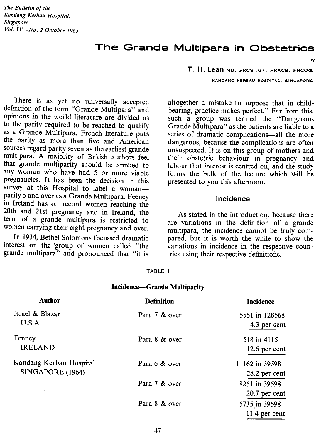# **The Grande Multipara in Obstetrics**

There is as yet no universally accepted definition of the term "Grande Multipara" and opinions in the world literature are divided as to the parity required to be reached to qualify as a Grande Multipara. French literature puts the parity as more than five and American sources regard parity seven as the earliest grande multipara. A majority of British authors feel that grande multiparity should be applied to any woman who have had 5 or more viable pregnancies. It has been the decision in this survey at this Hospital to label a womanparity 5 and over as a Grande Multipara. Feeney in Ireland has on record women reaching the 20th and 21st pregnancy and in Ireland, the term of a grande multipara is restricted to women carrying their eight pregnancy and over.

In 1934, Bethel Solomons focussed dramatic interest on the 'group of women called "the grande multipara" and pronounced that "it is

**T, H. Lean** MS, FRC5 (G), FRAC5, FRCOG.

KANDANG KERBAU HOSPITAL, SINGAPORE.

by

altogether a mistake to suppose that in childbearing, practice makes perfect." Far from this, such a group was termed the "Dangerous Grande Multipara" as the patients are liable to a series of dramatic complications-all the more dangerous, because the complications are often unsuspected. It is on this group of mothers and their obstetric behaviour in pregnancy and labour that interest is centred on, and the study fcrms the bulk of the lecture which will be presented to you this afternoon.

#### Incidence

As stated in the introduction, because there are variations in the definition of a grande multipara, the incidence cannot be truly compared, but it is worth the while to show the variations in incidence in the respective countries using their respective definitions.

#### **TABLE I**

#### **Incidence-Grande Multiparity**

| Author                                      | <b>Definition</b> | <b>Incidence</b>                 |
|---------------------------------------------|-------------------|----------------------------------|
| Israel & Blazar<br>U.S.A.                   | Para 7 & over     | 5551 in 128568<br>4.3 per cent   |
| Fenney<br><b>IRELAND</b>                    | Para 8 & over     | 518 in 4115<br>12.6 per cent     |
| Kandang Kerbau Hospital<br>SINGAPORE (1964) | Para 6 & over     | 11162 in 39598<br>28.2 per cent  |
|                                             | Para 7 & over     | 8251 in 39598<br>$20.7$ per cent |
|                                             | Para 8 & over     | 5735 in 39598<br>$11.4$ per cent |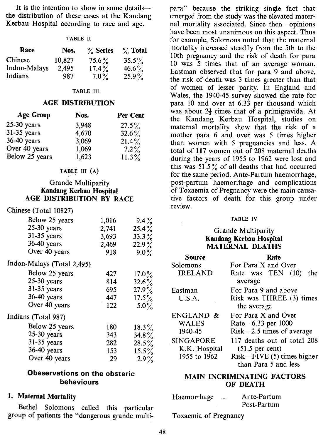It is the intention to show in some details the distribution of these cases at the Kandang Kerbau Hospital according to race and age.

| Race         | Nos.   | $\%$ Series | $\%$ Total |
|--------------|--------|-------------|------------|
| Chinese      | 10.827 | $75.6\%$    | $35.5\%$   |
| Indon-Malays | 2.495  | $17.4\%$    | $46.6\%$   |
| Indians      | 987    | $7.0\%$     | $25.9\%$   |

#### **TABLE III**

## **AGE DISTRIBUTION**

| <b>Age Group</b> | Nos.  | Per Cent |
|------------------|-------|----------|
| $25-30$ years    | 3,948 | $27.5\%$ |
| $31-35$ years    | 4,670 | $32.6\%$ |
| 36-40 years      | 3,069 | $21.4\%$ |
| Over 40 years    | 1,069 | $7.2\%$  |
| Below 25 years   | 1,623 | $11.3\%$ |

#### TABLE III  $(A)$

## Grande Multiparity Kandang Kerbau Hospital AGE DISTRIBUTION BY RACE

### Chinese (Total 10827)

| Below 25 years             | 1,016 | $9.4\%$  |
|----------------------------|-------|----------|
| 25-30 years                | 2,741 | $25.4\%$ |
| 31-35 years                | 3,693 | $33.3\%$ |
| 36-40 years                | 2,469 | $22.9\%$ |
| Over 40 years              | 918   | $9.0\%$  |
| Indon-Malays (Total 2,495) |       |          |
| Below 25 years             | 427   | $17.0\%$ |
| $25-30$ years              | 814   | $32.6\%$ |
| 31-35 years                | 695   | $27.9\%$ |
| 36-40 years                | 447   | $17.5\%$ |
| Over 40 years              | 122   | $5.0\%$  |
| Indians (Total 987)        |       |          |
| Below 25 years             | 180   | $18.3\%$ |
| $25-30$ years              | 343   | 34.8 $%$ |
| 31-35 years                | 282   | $28.5\%$ |
| 36-40 years                | 153   | $15.5\%$ |
| Over 40 years              | 29    | $2.9\%$  |

### Obeservations on the obsteric behaviours

## 1. Maternal Mortality

Bethel Solomons called this particular group of patients the "dangerous grande multipara" because the striking single fact that emerged from the study was the elevated maternal mortality associated. Since then-opinions have been most unanimous on this aspect. Thus for example, Solomons noted that the maternal mortality increased steadily from the 5th to the 10th pregnancy and the risk of death for para 10 was 5 times that of an average woman. Eastman observed that for para 9 and above, the risk of death was 3 times greater than that of women of lesser parity. In England and Wales, the 1940-45 survey showed the rate for para 10 and over at 6.33 per thousand which was about  $2\frac{1}{2}$  times that of a primigravida. At the Kandang Kerbau Hospital, studies on maternal mortality shew that the risk of a mother para 6 and over was 5 times higher than women with 5 pregnancies and less. A total of 117 women out of 208 maternal deaths during the years of 1955 to 1962 were lost and this was  $51.5\%$  of all deaths that had occurred for the same period. Ante-Partum haemorrhage, post-partum haemorrhage and complications of Toxaemia of Pregnancy were the main causative factors of death for this group under review.

#### **TABLE IV**

### Grande Multiparity Kandang Kerbau Hospital MATERNAL DEATHS

| Source           | Rate                        |  |  |
|------------------|-----------------------------|--|--|
| Solomons         | For Para X and Over         |  |  |
| <b>IRELAND</b>   | Rate was TEN (10)<br>the    |  |  |
|                  | average                     |  |  |
| Eastman          | For Para 9 and above        |  |  |
| U.S.A.           | Risk was THREE (3) times    |  |  |
|                  | the average                 |  |  |
| ENGLAND &        | For Para X and Over         |  |  |
| <b>WALES</b>     | Rate-6.33 per 1000          |  |  |
| 1940-45          | Risk-2.5 times of average   |  |  |
| <b>SINGAPORE</b> | 117 deaths out of total 208 |  |  |
| K.K. Hospital    | $(51.5 \text{ per cent})$   |  |  |
| 1955 to 1962     | Risk-FIVE (5) times higher  |  |  |
|                  | than Para 5 and less        |  |  |
|                  |                             |  |  |

### MAIN INCRIMINATING FACTORS OF DEATH

| Haemorrhage | <br>Ante-Partum |
|-------------|-----------------|
|             | Post-Partum     |

Toxaemia of Pregnancy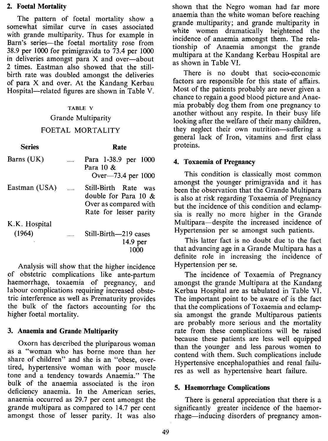### 2. Foetal Mortality

Series

The pattern of foetal mortality show a somewhat similar curve in cases associated with grande multiparity. Thus for example in Barn's series—the foetal mortality rose from 38.9 per 1000 for primigravida to 73.4 per 1000 in deliveries amongst para  $X$  and over-about 2 times. Eastman also showed that the stillbirth rate was doubled amongst the deliveries of para X and over. At the Kandang Kerbau Hospital—related figures are shown in Table V.

### TABLE V

#### Grande Multiparity

#### FOETAL MORTALITY

Rate

| Barns (UK)    | $\ldots$                 | Para 1-38.9 per 1000<br>Para 10 &<br>Over-73.4 per 1000                                               |
|---------------|--------------------------|-------------------------------------------------------------------------------------------------------|
| Eastman (USA) | $\overline{\phantom{a}}$ | Still-Birth Rate<br>was<br>double for Para 10 $\&$<br>Over as compared with<br>Rate for lesser parity |
| K.K. Hospital |                          |                                                                                                       |
| (1964)        |                          | Still-Birth-219 cases                                                                                 |
|               |                          | 14.9 per                                                                                              |
|               |                          | 1000                                                                                                  |

Analysis will show that the higher incidence of obstetric complications like ante-partum haemorrhage, toxaemia of pregnancy, and labour complications requiring increased obstetric interference as well as Prematurity provides the bulk of the factors accounting for the higher foetal mortality.

### 3. Anaemia and Grande Multiparity

Oxorn has described the pluriparous woman as a "woman who has borne more than her share of children" and she is an "obese, overtired, hypertensive woman with poor muscle tone and a tendency towards Anaemia." The bulk of the anaemia associated is the iron deficiency anaemia. In the American series, anaemia occurred as 29.7 per cent amongst the grande multipara as compared to 14.7 per cent amongst those of lesser parity. It was also shown that the Negro woman had far more anaemia than the white woman before reaching grande multiparity; and grande multiparity in white women dramatically heightened the incidence of anaemia amongst them. The relationship of Anaemia amongst the grande multipara at the Kandang Kerbau Hospital are as shown in Table VI.

There is no doubt that socio-economic factors are responsible for this state of affairs. Most of the patients probably are never given a chance to regain a good blood picture and Anaemia probably dog them from one pregnancy to another without any respite. In their busy life looking after the welfare of their many children, they neglect their own nutrition-suffering a general lack of Iron, vitamins and first class proteins.

## 4. Toxaemia of Pregnancy

This condition is classically most common amongst the younger primigravida and it has been the observation that the Grande Multipara is also at risk regarding Toxaemia of Pregnancy but the incidence of this condition and eclampsia is really no more higher in the Grande Multipara-despite the increased incidence of Hypertension per se amongst such patients.

This latter fact is no doubt due to the fact that advancing age in a Grande Multipara has a definite role in increasing the incidence of Hypertension per se.

The incidence of Toxaemia of Pregnancy amongst the grande Multipara at the Kandang Kerbau Hospital are as tabulated in Table VI. The important point to be aware of is the fact that the complications of Toxaemia and eclampsia amongst the grande Multiparous patients are probably more serious and the mortality rate from these complications will be raised because these patients are less well equipped than the younger and less parous women to contend with them. Such complications include Hypertensive encephalopathies and renal failures as well as hypertensive heart failure.

### 5. Haemorrhage Complications

There is general appreciation that there is a significantly greater incidence of the haemorrhage—inducing disorders of pregnancy amon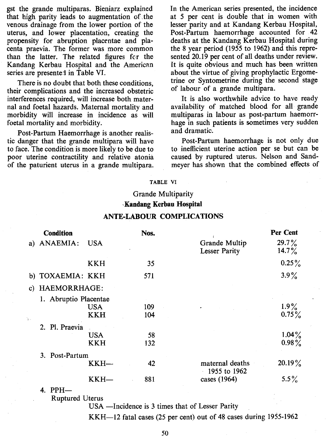gst the grande multiparas. Bieniarz explained that high parity leads to augmentation of.the venous drainage from the lower portion of the uterus, and lower placentation, creating the propensity for abruption placentae and placenta praevia. The former was more common than the latter. The related fieures fer the Kandang Kerbau Hospital and the American series are presented in Table VI.

There is no doubt that both these conditions, their complications and the increased obstetric interferences required, will increase both maternal and foetal hazards. Maternal mortality and morbidity will increase in incidence as will foetal mortality and morbidity.

Post-Partum Haemorrhage is another realistic danger that the grande multipara will have to face. The condition is more likely to be due to poor uterine contractility and relative atonia of the paturient uterus in a grande multipara. In the American series presented, the incidence at 5 per cent is double that in women with lesser parity and at Kandang Kerbau Hospital, Post-Partum haemorrhage accounted for 42 deaths at the Kandang Kerbau Hospital during the 8 year period (1955 to 1962) and this represented 20.19 per cent of all deaths under review. It is quite obvious and much has been written about the virtue of giving prophylactic Ergometrine or Syntometrine during the second stage of labour of a grande multipara.

It is also worthwhile advice to have ready availability of matched blood for all grande multiparas in labour as post-partum haemorrhage in such patients is sometimes very sudden and dramatic.

Post-Partum haemorrhagc is not only due to inefficient uterine action per se but can be caused by ruptured uterus. Nelson and Sandmeyer has shown that the combined effects of

#### **TABLE VI**

## Grande Multiparity -Kandang Kerbau Hospital

|    | <b>Condition</b>      |                          | Nos.       |                                       | Per Cent             |
|----|-----------------------|--------------------------|------------|---------------------------------------|----------------------|
|    | a) ANAEMIA:           | <b>USA</b>               |            | Grande Multip<br><b>Lesser Parity</b> | $29.7\%$<br>$14.7\%$ |
|    |                       | KKH                      | 35         |                                       | $0.25\%$             |
|    | b) TOXAEMIA: KKH      |                          | 571        |                                       | $3.9\%$              |
|    | c) HAEMORRHAGE:       |                          |            |                                       |                      |
| ķ. | 1. Abruptio Placentae | <b>USA</b><br><b>KKH</b> | 109<br>104 |                                       | $1.9\%$<br>$0.75\%$  |
|    | 2. Pl. Praevia        | <b>USA</b><br><b>KKH</b> | 58<br>132  |                                       | $1.04\%$<br>$0.98\%$ |
|    | 3. Post-Partum        | KKH—                     | 42         | maternal deaths<br>1955 to 1962       | $20.19\%$            |
|    |                       | KKH-                     | 881        | cases (1964)                          | $5.5\%$              |

#### ANTE-LABOUR COMPLICATIONS

#### 4. PPH-

Ruptured Uterus

USA —Incidence is 3 times that of Lesser Parity

KKH-12 fatal cases (25 per cent) out of 48 cases during 1955-1962